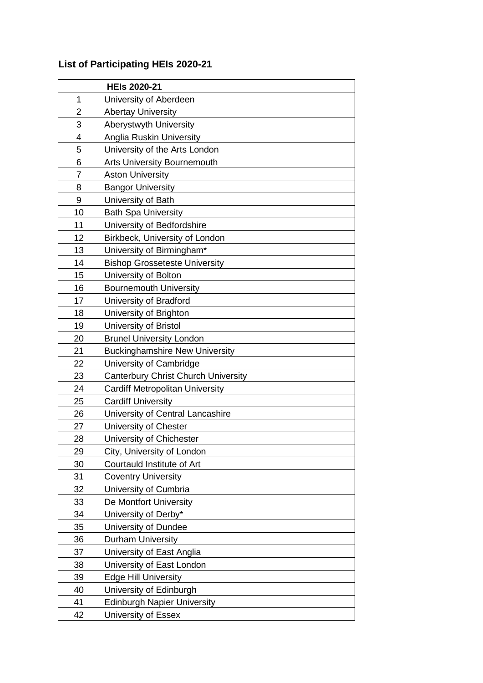## **List of Participating HEIs 2020-21**

|                | <b>HEIs 2020-21</b>                        |
|----------------|--------------------------------------------|
| 1              | University of Aberdeen                     |
| 2              | <b>Abertay University</b>                  |
| 3              | Aberystwyth University                     |
| 4              | Anglia Ruskin University                   |
| 5              | University of the Arts London              |
| 6              | <b>Arts University Bournemouth</b>         |
| $\overline{7}$ | <b>Aston University</b>                    |
| 8              | <b>Bangor University</b>                   |
| 9              | University of Bath                         |
| 10             | <b>Bath Spa University</b>                 |
| 11             | University of Bedfordshire                 |
| 12             | Birkbeck, University of London             |
| 13             | University of Birmingham*                  |
| 14             | <b>Bishop Grosseteste University</b>       |
| 15             | University of Bolton                       |
| 16             | <b>Bournemouth University</b>              |
| 17             | University of Bradford                     |
| 18             | University of Brighton                     |
| 19             | University of Bristol                      |
| 20             | <b>Brunel University London</b>            |
| 21             | <b>Buckinghamshire New University</b>      |
| 22             | University of Cambridge                    |
| 23             | <b>Canterbury Christ Church University</b> |
| 24             | Cardiff Metropolitan University            |
| 25             | <b>Cardiff University</b>                  |
| 26             | University of Central Lancashire           |
| 27             | University of Chester                      |
| 28             | University of Chichester                   |
| 29             | City, University of London                 |
| 30             | Courtauld Institute of Art                 |
| 31             | <b>Coventry University</b>                 |
| 32             | University of Cumbria                      |
| 33             | De Montfort University                     |
| 34             | University of Derby*                       |
| 35             | University of Dundee                       |
| 36             | <b>Durham University</b>                   |
| 37             | University of East Anglia                  |
| 38             | University of East London                  |
| 39             | <b>Edge Hill University</b>                |
| 40             | University of Edinburgh                    |
| 41             | <b>Edinburgh Napier University</b>         |
| 42             | University of Essex                        |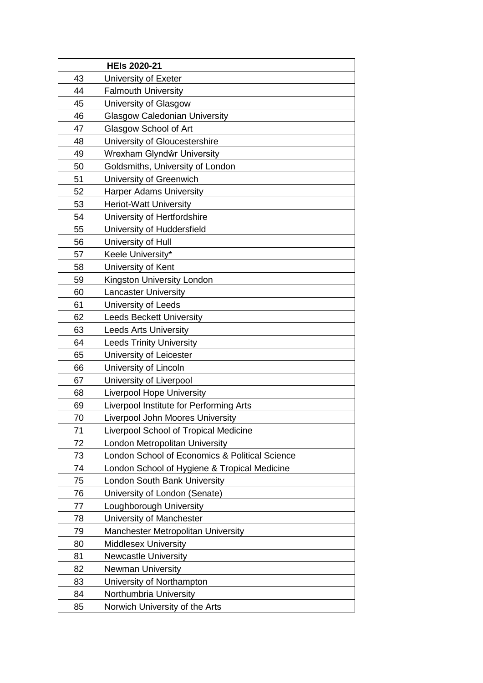|    | <b>HEIs 2020-21</b>                            |
|----|------------------------------------------------|
| 43 | University of Exeter                           |
| 44 | <b>Falmouth University</b>                     |
| 45 | University of Glasgow                          |
| 46 | <b>Glasgow Caledonian University</b>           |
| 47 | Glasgow School of Art                          |
| 48 | University of Gloucestershire                  |
| 49 | Wrexham Glyndŵr University                     |
| 50 | Goldsmiths, University of London               |
| 51 | University of Greenwich                        |
| 52 | <b>Harper Adams University</b>                 |
| 53 | <b>Heriot-Watt University</b>                  |
| 54 | University of Hertfordshire                    |
| 55 | University of Huddersfield                     |
| 56 | University of Hull                             |
| 57 | Keele University*                              |
| 58 | University of Kent                             |
| 59 | Kingston University London                     |
| 60 | <b>Lancaster University</b>                    |
| 61 | University of Leeds                            |
| 62 | <b>Leeds Beckett University</b>                |
| 63 | <b>Leeds Arts University</b>                   |
| 64 | <b>Leeds Trinity University</b>                |
| 65 | University of Leicester                        |
| 66 | University of Lincoln                          |
| 67 | University of Liverpool                        |
| 68 | <b>Liverpool Hope University</b>               |
| 69 | Liverpool Institute for Performing Arts        |
| 70 | <b>Liverpool John Moores University</b>        |
| 71 | <b>Liverpool School of Tropical Medicine</b>   |
| 72 | London Metropolitan University                 |
| 73 | London School of Economics & Political Science |
| 74 | London School of Hygiene & Tropical Medicine   |
| 75 | London South Bank University                   |
| 76 | University of London (Senate)                  |
| 77 | Loughborough University                        |
| 78 | University of Manchester                       |
| 79 | Manchester Metropolitan University             |
| 80 | <b>Middlesex University</b>                    |
| 81 | <b>Newcastle University</b>                    |
| 82 | <b>Newman University</b>                       |
| 83 | University of Northampton                      |
| 84 | Northumbria University                         |
| 85 | Norwich University of the Arts                 |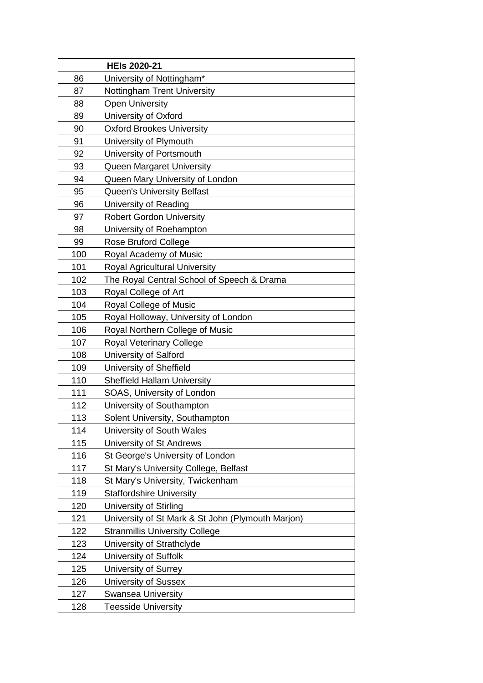|     | <b>HEIs 2020-21</b>                               |
|-----|---------------------------------------------------|
| 86  | University of Nottingham*                         |
| 87  | <b>Nottingham Trent University</b>                |
| 88  | <b>Open University</b>                            |
| 89  | University of Oxford                              |
| 90  | <b>Oxford Brookes University</b>                  |
| 91  | University of Plymouth                            |
| 92  | University of Portsmouth                          |
| 93  | Queen Margaret University                         |
| 94  | Queen Mary University of London                   |
| 95  | <b>Queen's University Belfast</b>                 |
| 96  | University of Reading                             |
| 97  | <b>Robert Gordon University</b>                   |
| 98  | University of Roehampton                          |
| 99  | <b>Rose Bruford College</b>                       |
| 100 | Royal Academy of Music                            |
| 101 | Royal Agricultural University                     |
| 102 | The Royal Central School of Speech & Drama        |
| 103 | Royal College of Art                              |
| 104 | Royal College of Music                            |
| 105 | Royal Holloway, University of London              |
| 106 | Royal Northern College of Music                   |
| 107 | <b>Royal Veterinary College</b>                   |
| 108 | University of Salford                             |
| 109 | University of Sheffield                           |
| 110 | <b>Sheffield Hallam University</b>                |
| 111 | SOAS, University of London                        |
| 112 | University of Southampton                         |
| 113 | Solent University, Southampton                    |
| 114 | University of South Wales                         |
| 115 | University of St Andrews                          |
| 116 | St George's University of London                  |
| 117 | St Mary's University College, Belfast             |
| 118 | St Mary's University, Twickenham                  |
| 119 | <b>Staffordshire University</b>                   |
| 120 | University of Stirling                            |
| 121 | University of St Mark & St John (Plymouth Marjon) |
| 122 | <b>Stranmillis University College</b>             |
| 123 | University of Strathclyde                         |
| 124 | University of Suffolk                             |
| 125 | University of Surrey                              |
| 126 | <b>University of Sussex</b>                       |
| 127 | <b>Swansea University</b>                         |
| 128 | <b>Teesside University</b>                        |